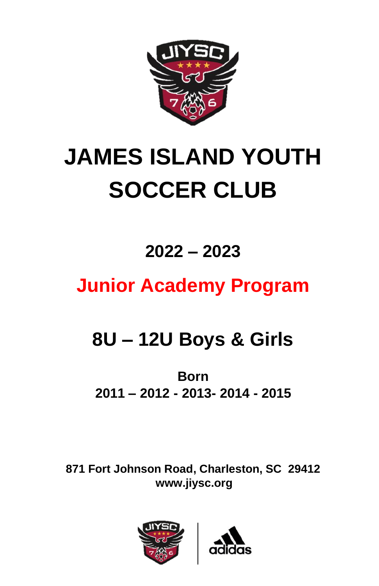

# **JAMES ISLAND YOUTH SOCCER CLUB**

## **2022 – 2023**

## **Junior Academy Program**

## **8U – 12U Boys & Girls**

### **Born 2011 – 2012 - 2013- 2014 - 2015**

**871 Fort Johnson Road, Charleston, SC 29412 www.jiysc.org**



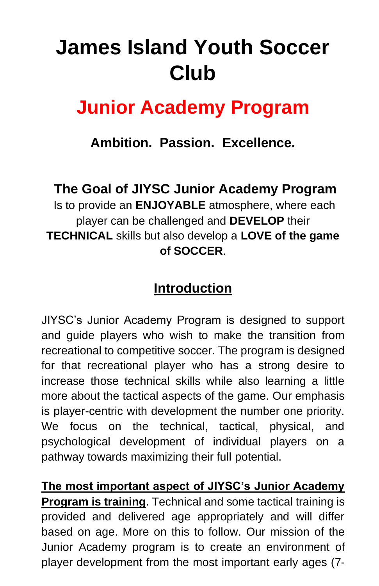## **James Island Youth Soccer Club**

### **Junior Academy Program**

**Ambition. Passion. Excellence.** 

**The Goal of JIYSC Junior Academy Program** 

Is to provide an **ENJOYABLE** atmosphere, where each player can be challenged and **DEVELOP** their **TECHNICAL** skills but also develop a **LOVE of the game of SOCCER**.

### **Introduction**

JIYSC's Junior Academy Program is designed to support and guide players who wish to make the transition from recreational to competitive soccer. The program is designed for that recreational player who has a strong desire to increase those technical skills while also learning a little more about the tactical aspects of the game. Our emphasis is player-centric with development the number one priority. We focus on the technical, tactical, physical, and psychological development of individual players on a pathway towards maximizing their full potential.

**The most important aspect of JIYSC's Junior Academy Program is training**. Technical and some tactical training is provided and delivered age appropriately and will differ based on age. More on this to follow. Our mission of the Junior Academy program is to create an environment of player development from the most important early ages (7-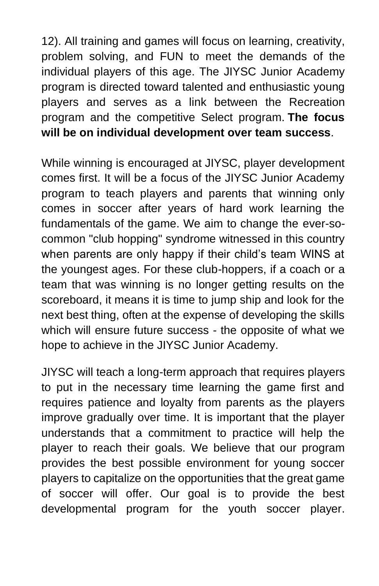12). All training and games will focus on learning, creativity, problem solving, and FUN to meet the demands of the individual players of this age. The JIYSC Junior Academy program is directed toward talented and enthusiastic young players and serves as a link between the Recreation program and the competitive Select program. **The focus will be on individual development over team success**.

While winning is encouraged at JIYSC, player development comes first. It will be a focus of the JIYSC Junior Academy program to teach players and parents that winning only comes in soccer after years of hard work learning the fundamentals of the game. We aim to change the ever-socommon "club hopping" syndrome witnessed in this country when parents are only happy if their child's team WINS at the youngest ages. For these club-hoppers, if a coach or a team that was winning is no longer getting results on the scoreboard, it means it is time to jump ship and look for the next best thing, often at the expense of developing the skills which will ensure future success - the opposite of what we hope to achieve in the JIYSC Junior Academy.

JIYSC will teach a long-term approach that requires players to put in the necessary time learning the game first and requires patience and loyalty from parents as the players improve gradually over time. It is important that the player understands that a commitment to practice will help the player to reach their goals. We believe that our program provides the best possible environment for young soccer players to capitalize on the opportunities that the great game of soccer will offer. Our goal is to provide the best developmental program for the youth soccer player.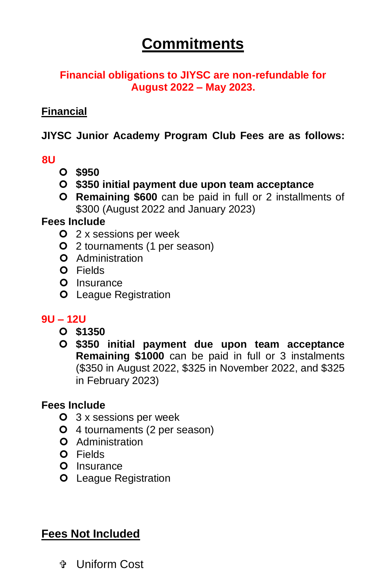### **Commitments**

#### **Financial obligations to JIYSC are non-refundable for August 2022 – May 2023.**

#### **Financial**

#### **JIYSC Junior Academy Program Club Fees are as follows:**

#### **8U**

- **\$950**
- **\$350 initial payment due upon team acceptance**
- **Remaining \$600** can be paid in full or 2 installments of \$300 (August 2022 and January 2023)

#### **Fees Include**

- **O** 2 x sessions per week
- 2 tournaments (1 per season)
- **O** Administration
- **O** Fields
- O Insurance
- **O** League Registration

#### **9U – 12U**

- **\$1350**
- **\$350 initial payment due upon team acceptance Remaining \$1000** can be paid in full or 3 instalments (\$350 in August 2022, \$325 in November 2022, and \$325 in February 2023)

#### **Fees Include**

- **O** 3 x sessions per week
- 4 tournaments (2 per season)
- **O** Administration
- Fields
- O Insurance
- **O** League Registration

#### **Fees Not Included**

Uniform Cost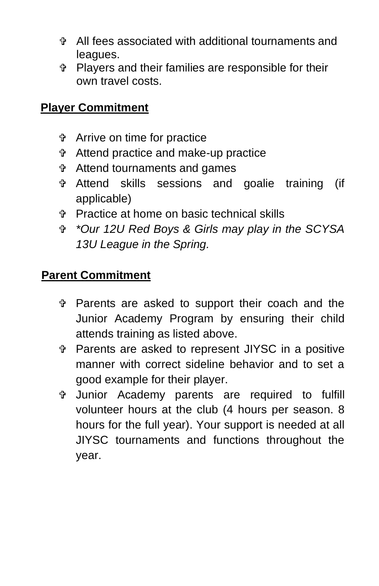- All fees associated with additional tournaments and leagues.
- Players and their families are responsible for their own travel costs.

#### **Player Commitment**

- Arrive on time for practice
- Attend practice and make-up practice
- Attend tournaments and games
- Attend skills sessions and goalie training (if applicable)
- Practice at home on basic technical skills
- *\*Our 12U Red Boys & Girls may play in the SCYSA 13U League in the Spring.*

#### **Parent Commitment**

- Parents are asked to support their coach and the Junior Academy Program by ensuring their child attends training as listed above.
- Parents are asked to represent JIYSC in a positive manner with correct sideline behavior and to set a good example for their player.
- Junior Academy parents are required to fulfill volunteer hours at the club (4 hours per season. 8 hours for the full year). Your support is needed at all JIYSC tournaments and functions throughout the year.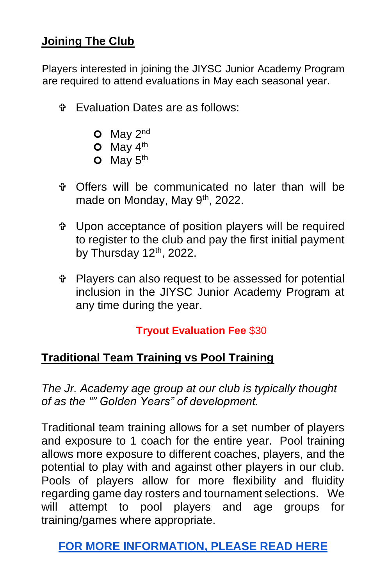#### **Joining The Club**

Players interested in joining the JIYSC Junior Academy Program are required to attend evaluations in May each seasonal year.

- Evaluation Dates are as follows:
	- $O$  May  $2^{nd}$
	- $O$  May  $4<sup>th</sup>$
	- $O$  May  $5<sup>th</sup>$
- Offers will be communicated no later than will be made on Monday, May 9<sup>th</sup>, 2022.
- Upon acceptance of position players will be required to register to the club and pay the first initial payment by Thursday  $12<sup>th</sup>$ , 2022.
- Players can also request to be assessed for potential inclusion in the JIYSC Junior Academy Program at any time during the year.

#### **Tryout Evaluation Fee** \$30

#### **Traditional Team Training vs Pool Training**

*The Jr. Academy age group at our club is typically thought of as the "" Golden Years" of development.*

Traditional team training allows for a set number of players and exposure to 1 coach for the entire year. Pool training allows more exposure to different coaches, players, and the potential to play with and against other players in our club. Pools of players allow for more flexibility and fluidity regarding game day rosters and tournament selections. We will attempt to pool players and age groups for training/games where appropriate.

**[FOR MORE INFORMATION,](https://www.usyouthsoccer.org/_the_benefits_of_pool_play_vs_traditional_leagues_for_u-10s_/) PLEASE READ HERE**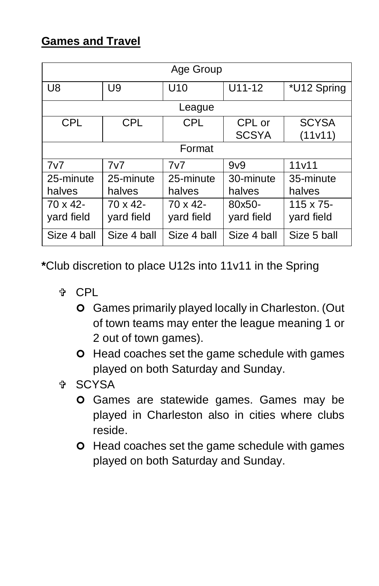#### **Games and Travel**

| Age Group      |                  |                  |                  |              |
|----------------|------------------|------------------|------------------|--------------|
| U <sub>8</sub> | U9               | U <sub>10</sub>  | $U11-12$         | *U12 Spring  |
| League         |                  |                  |                  |              |
| <b>CPL</b>     | <b>CPL</b>       | <b>CPL</b>       | CPL or           | <b>SCYSA</b> |
|                |                  |                  | <b>SCSYA</b>     | (11v11)      |
| Format         |                  |                  |                  |              |
| 7v7            | 7v7              | 7v7              | 9 <sub>v</sub> 9 | 11v11        |
| 25-minute      | 25-minute        | 25-minute        | 30-minute        | 35-minute    |
| halves         | halves           | halves           | halves           | halves       |
| $70 \times 42$ | $70 \times 42$ - | $70 \times 42$ - | 80x50-           | 115 x 75-    |
| yard field     | yard field       | yard field       | yard field       | yard field   |
| Size 4 ball    | Size 4 ball      | Size 4 ball      | Size 4 ball      | Size 5 ball  |

**\***Club discretion to place U12s into 11v11 in the Spring

- ⊕ CPL
	- Games primarily played locally in Charleston. (Out of town teams may enter the league meaning 1 or 2 out of town games).
	- **O** Head coaches set the game schedule with games played on both Saturday and Sunday.
- <sup>⊕</sup> SCYSA
	- **O** Games are statewide games. Games may be played in Charleston also in cities where clubs reside.
	- **O** Head coaches set the game schedule with games played on both Saturday and Sunday.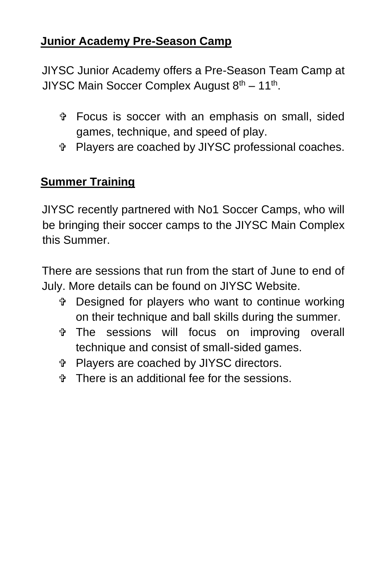#### **Junior Academy Pre-Season Camp**

JIYSC Junior Academy offers a Pre-Season Team Camp at JIYSC Main Soccer Complex August 8<sup>th</sup> – 11<sup>th</sup>.

- Focus is soccer with an emphasis on small, sided games, technique, and speed of play.
- Players are coached by JIYSC professional coaches.

#### **Summer Training**

JIYSC recently partnered with No1 Soccer Camps, who will be bringing their soccer camps to the JIYSC Main Complex this Summer.

There are sessions that run from the start of June to end of July. More details can be found on JIYSC Website.

- Designed for players who want to continue working on their technique and ball skills during the summer.
- The sessions will focus on improving overall technique and consist of small-sided games.
- Players are coached by JIYSC directors.
- There is an additional fee for the sessions.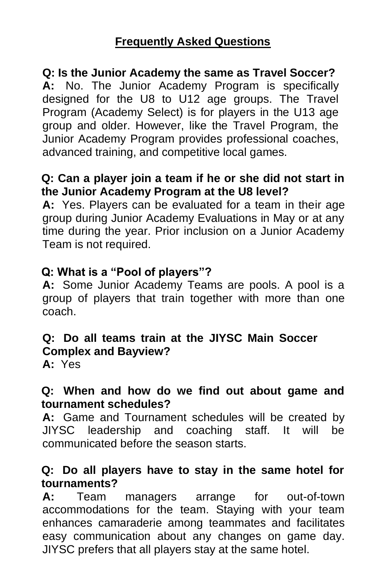#### **Frequently Asked Questions**

#### **Q: Is the Junior Academy the same as Travel Soccer?**

**A:** No. The Junior Academy Program is specifically designed for the U8 to U12 age groups. The Travel Program (Academy Select) is for players in the U13 age group and older. However, like the Travel Program, the Junior Academy Program provides professional coaches, advanced training, and competitive local games.

#### **Q: Can a player join a team if he or she did not start in the Junior Academy Program at the U8 level?**

**A:** Yes. Players can be evaluated for a team in their age group during Junior Academy Evaluations in May or at any time during the year. Prior inclusion on a Junior Academy Team is not required.

#### **Q: What is a "Pool of players"?**

**A:** Some Junior Academy Teams are pools. A pool is a group of players that train together with more than one coach.

#### **Q: Do all teams train at the JIYSC Main Soccer Complex and Bayview?**

**A:** Yes

#### **Q: When and how do we find out about game and tournament schedules?**

**A:** Game and Tournament schedules will be created by JIYSC leadership and coaching staff. It will be communicated before the season starts.

#### **Q: Do all players have to stay in the same hotel for tournaments?**

**A:** Team managers arrange for out-of-town accommodations for the team. Staying with your team enhances camaraderie among teammates and facilitates easy communication about any changes on game day. JIYSC prefers that all players stay at the same hotel.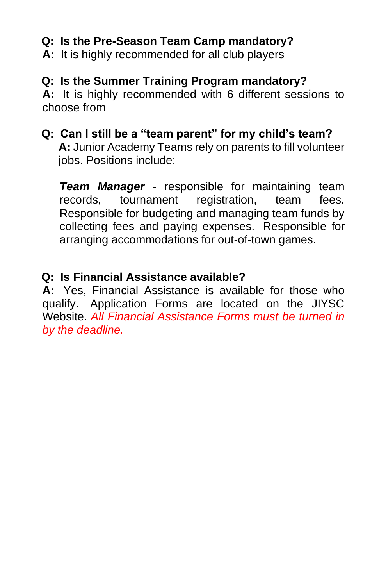#### **Q: Is the Pre-Season Team Camp mandatory?**

**A:** It is highly recommended for all club players

#### **Q: Is the Summer Training Program mandatory?**

**A:** It is highly recommended with 6 different sessions to choose from

### **Q: Can I still be a "team parent" for my child's team?**

**A:** Junior Academy Teams rely on parents to fill volunteer jobs. Positions include:

*Team Manager* - responsible for maintaining team records, tournament registration, team fees. Responsible for budgeting and managing team funds by collecting fees and paying expenses. Responsible for arranging accommodations for out-of-town games.

#### **Q: Is Financial Assistance available?**

**A:** Yes, Financial Assistance is available for those who qualify. Application Forms are located on the JIYSC Website. *All Financial Assistance Forms must be turned in by the deadline.*